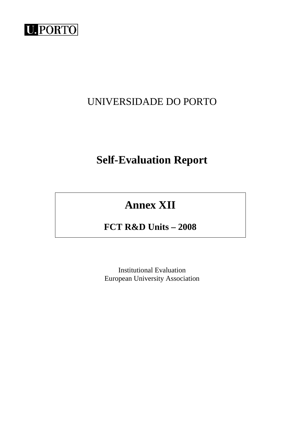

## UNIVERSIDADE DO PORTO

# **Self-Evaluation Report**

# **Annex XII**

## **FCT R&D Units – 2008**

Institutional Evaluation European University Association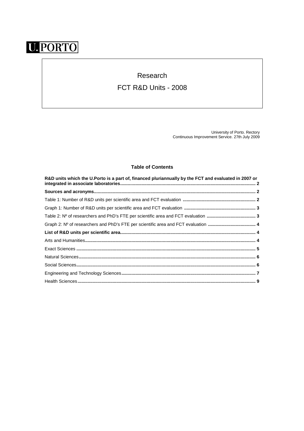# **U. PORTO**

## Research

### FCT R&D Units - 2008

University of Porto. Rectory Continuous Improvement Service. 27th July 2009

### **Table of Contents**

| R&D units which the U.Porto is a part of, financed pluriannually by the FCT and evaluated in 2007 or |  |
|------------------------------------------------------------------------------------------------------|--|
|                                                                                                      |  |
|                                                                                                      |  |
|                                                                                                      |  |
|                                                                                                      |  |
|                                                                                                      |  |
|                                                                                                      |  |
|                                                                                                      |  |
|                                                                                                      |  |
|                                                                                                      |  |
|                                                                                                      |  |
|                                                                                                      |  |
|                                                                                                      |  |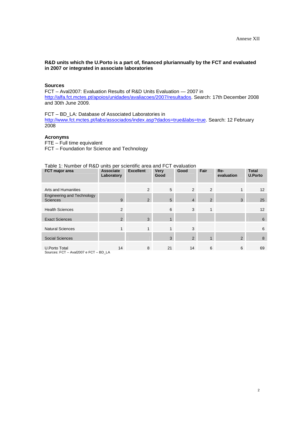#### **R&D units which the U.Porto is a part of, financed pluriannually by the FCT and evaluated in 2007 or integrated in associate laboratories**

#### **Sources**

FCT – Aval2007: Evaluation Results of R&D Units Evaluation — 2007 in http://alfa.fct.mctes.pt/apoios/unidades/avaliacoes/2007/resultados. Search: 17th December 2008 and 30th June 2009.

FCT – BD\_LA: Database of Associated Laboratories in http://www.fct.mctes.pt/labs/associados/index.asp?dados=true&labs=true. Search: 12 February 2008

#### **Acronyms**

FTE – Full time equivalent FCT – Foundation for Science and Technology

#### Table 1: Number of R&D units per scientific area and FCT evaluation

| FCT major area                                                                                                       | <b>Associate</b><br>Laboratory | <b>Excellent</b> | <b>Very</b><br>Good | Good           | Fair           | Re-<br>evaluation | <b>Total</b><br><b>U.Porto</b> |
|----------------------------------------------------------------------------------------------------------------------|--------------------------------|------------------|---------------------|----------------|----------------|-------------------|--------------------------------|
| <b>Arts and Humanities</b>                                                                                           |                                | $\mathfrak{p}$   | 5                   | $\overline{2}$ | 2              |                   | 12                             |
| <b>Engineering and Technology</b><br><b>Sciences</b>                                                                 | 9                              | $\overline{2}$   | 5                   | $\overline{4}$ | $\overline{2}$ | 3                 | 25                             |
| <b>Health Sciences</b>                                                                                               | 2                              |                  | 6                   | 3              | $\mathbf{1}$   |                   | 12                             |
| <b>Exact Sciences</b>                                                                                                | 2                              | 3                | $\overline{A}$      |                |                |                   | 6                              |
| <b>Natural Sciences</b>                                                                                              | $\mathbf{1}$                   | 1                | $\mathbf{1}$        | 3              |                |                   | 6                              |
| <b>Social Sciences</b>                                                                                               |                                |                  | 3                   | $\overline{2}$ | $\mathbf{1}$   | 2                 | 8                              |
| U.Porto Total<br>$C_{\text{outmax}}$ , $CCT = \Lambda_{\text{tot}}$ 1900 $7 \times \text{CCT} = \text{DD} + \Lambda$ | 14                             | 8                | 21                  | 14             | 6              | 6                 | 69                             |

Sources: FCT – Aval2007 e FCT – BD\_LA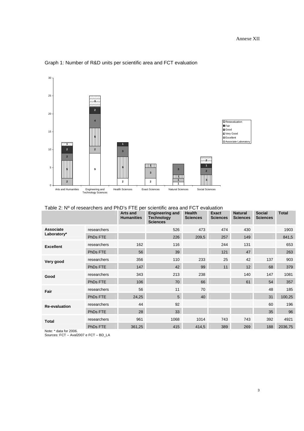

#### Graph 1: Number of R&D units per scientific area and FCT evaluation

Table 2: Nº of researchers and PhD's FTE per scientific area and FCT evaluation

|                                 |             | <b>Arts and</b><br><b>Humanities</b> | <b>Engineering and</b><br><b>Technology</b><br><b>Sciences</b> | Health<br><b>Sciences</b> | <b>Exact</b><br><b>Sciences</b> | <b>Natural</b><br><b>Sciences</b> | <b>Social</b><br><b>Sciences</b> | <b>Total</b> |
|---------------------------------|-------------|--------------------------------------|----------------------------------------------------------------|---------------------------|---------------------------------|-----------------------------------|----------------------------------|--------------|
| <b>Associate</b><br>Laboratory* | researchers |                                      | 526                                                            | 473                       | 474                             | 430                               |                                  | 1903         |
|                                 | PhDs FTE    |                                      | 226                                                            | 209,5                     | 257                             | 149                               |                                  | 841,5        |
| <b>Excellent</b>                | researchers | 162                                  | 116                                                            |                           | 244                             | 131                               |                                  | 653          |
|                                 | PhDs FTE    | 56                                   | 39                                                             |                           | 121                             | 47                                |                                  | 263          |
| Very good                       | researchers | 356                                  | 110                                                            | 233                       | 25                              | 42                                | 137                              | 903          |
|                                 | PhDs FTE    | 147                                  | 42                                                             | 99                        | 11                              | 12                                | 68                               | 379          |
| Good                            | researchers | 343                                  | 213                                                            | 238                       |                                 | 140                               | 147                              | 1081         |
|                                 | PhDs FTE    | 106                                  | 70                                                             | 66                        |                                 | 61                                | 54                               | 357          |
| Fair                            | researchers | 56                                   | 11                                                             | 70                        |                                 |                                   | 48                               | 185          |
|                                 | PhDs FTE    | 24,25                                | $5\overline{)}$                                                | 40                        |                                 |                                   | 31                               | 100,25       |
| <b>Re-evaluation</b>            | researchers | 44                                   | 92                                                             |                           |                                 |                                   | 60                               | 196          |
|                                 | PhDs FTE    | 28                                   | 33                                                             |                           |                                 |                                   | 35                               | 96           |
| <b>Total</b>                    | researchers | 961                                  | 1068                                                           | 1014                      | 743                             | 743                               | 392                              | 4921         |
|                                 | PhDs FTE    | 361,25                               | 415                                                            | 414,5                     | 389                             | 269                               | 188                              | 2036,75      |

Note: \* data for 2006. Sources: FCT – Aval2007 e FCT – BD\_LA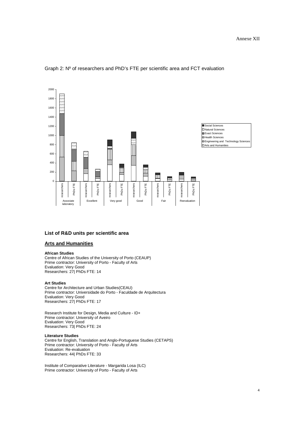

#### Graph 2: Nº of researchers and PhD's FTE per scientific area and FCT evaluation

#### **List of R&D units per scientific area**

#### **Arts and Humanities**

#### **African Studies**

Centre of African Studies of the University of Porto (CEAUP) Prime contractor: University of Porto - Faculty of Arts Evaluation: Very Good Researchers: 27| PhDs FTE: 14

#### **Art Studies**

Centre for Architecture and Urban Studies(CEAU) Prime contractor: Universidade do Porto - Faculdade de Arquitectura Evaluation: Very Good Researchers: 27| PhDs FTE: 17

Research Institute for Design, Media and Culture - ID+ Prime contractor: University of Aveiro Evaluation: Very Good Researchers: 73| PhDs FTE: 24

#### **Literature Studies**

Centre for English, Translation and Anglo-Portuguese Studies (CETAPS) Prime contractor: University of Porto - Faculty of Arts Evaluation: Re-evaluation Researchers: 44| PhDs FTE: 33

Institute of Comparative Literature - Margarida Losa (ILC) Prime contractor: University of Porto - Faculty of Arts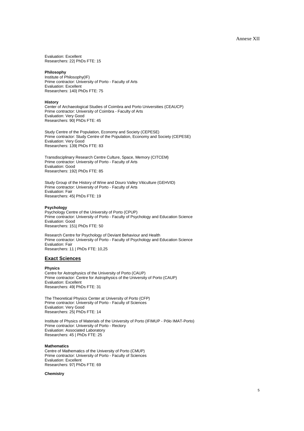Evaluation: Excellent Researchers: 22| PhDs FTE: 15

#### **Philosophy**

Institute of Philosophy(IF) Prime contractor: University of Porto - Faculty of Arts Evaluation: Excellent Researchers: 140| PhDs FTE: 75

#### **History**

Center of Archaeological Studies of Coimbra and Porto Universities (CEAUCP) Prime contractor: University of Coimbra - Faculty of Arts Evaluation: Very Good Researchers: 90| PhDs FTE: 45

Study Centre of the Population, Economy and Society (CEPESE) Prime contractor: Study Centre of the Population, Economy and Society (CEPESE) Evaluation: Very Good Researchers: 139| PhDs FTE: 83

Transdisciplinary Research Centre Culture, Space, Memory (CITCEM) Prime contractor: University of Porto - Faculty of Arts Evaluation: Good Researchers: 192| PhDs FTE: 85

Study Group of the History of Wine and Douro Valley Viticulture (GEHVID) Prime contractor: University of Porto - Faculty of Arts Evaluation: Fair Researchers: 45| PhDs FTE: 19

#### **Psychology**

Psychology Centre of the University of Porto (CPUP) Prime contractor: University of Porto - Faculty of Psychology and Education Science Evaluation: Good Researchers: 151| PhDs FTE: 50

Research Centre for Psychology of Deviant Behaviour and Health Prime contractor: University of Porto - Faculty of Psychology and Education Science Evaluation: Fair Researchers: 11 | PhDs FTE: 10,25

#### **Exact Sciences**

**Physics** 

Centre for Astrophysics of the University of Porto (CAUP) Prime contractor: Centre for Astrophysics of the University of Porto (CAUP) Evaluation: Excellent Researchers: 49| PhDs FTE: 31

The Theoretical Physics Center at University of Porto (CFP) Prime contractor: University of Porto - Faculty of Sciences Evaluation: Very Good Researchers: 25| PhDs FTE: 14

Institute of Physics of Materials of the University of Porto (IFIMUP - Pólo IMAT-Porto) Prime contractor: University of Porto - Rectory Evaluation: Associated Laboratory Researchers: 45 | PhDs FTE: 25

#### **Mathematics**

Centre of Mathematics of the University of Porto (CMUP) Prime contractor: University of Porto - Faculty of Sciences Evaluation: Excellent Researchers: 97| PhDs FTE: 69

#### **Chemistry**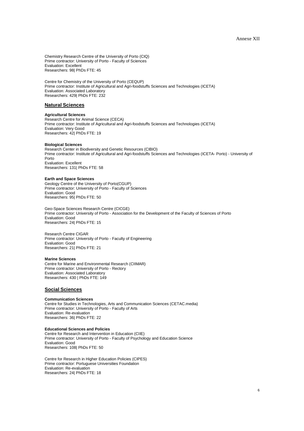Chemistry Research Centre of the University of Porto (CIQ) Prime contractor: University of Porto - Faculty of Sciences Evaluation: Excellent Researchers: 98| PhDs FTE: 45

Centre for Chemistry of the University of Porto (CEQUP) Prime contractor: Institute of Agricultural and Agri-foodstuffs Sciences and Technologies (ICETA) Evaluation: Associated Laboratory Researchers: 429| PhDs FTE: 232

#### **Natural Sciences**

#### **Agricultural Sciences**

Research Centre for Animal Science (CECA) Prime contractor: Institute of Agricultural and Agri-foodstuffs Sciences and Technologies (ICETA) Evaluation: Very Good Researchers: 42| PhDs FTE: 19

#### **Biological Sciences**

Research Center in Biodiversity and Genetic Resources (CIBIO) Prime contractor: Institute of Agricultural and Agri-foodstuffs Sciences and Technologies (ICETA- Porto) - University of Porto Evaluation: Excellent Researchers: 131| PhDs FTE: 58

#### **Earth and Space Sciences**

Geology Centre of the University of Porto(CGUP) Prime contractor: University of Porto - Faculty of Sciences Evaluation: Good Researchers: 95| PhDs FTE: 50

Geo-Space Sciences Research Centre (CICGE) Prime contractor: University of Porto - Association for the Development of the Faculty of Sciences of Porto Evaluation: Good Researchers: 24| PhDs FTE: 15

Research Centre CIGAR Prime contractor: University of Porto - Faculty of Engineering Evaluation: Good Researchers: 21| PhDs FTE: 21

#### **Marine Sciences**

Centre for Marine and Environmental Research (CIIMAR) Prime contractor: University of Porto - Rectory Evaluation: Associated Laboratory Researchers: 430 | PhDs FTE: 149

#### **Social Sciences**

#### **Communication Sciences**

Centre for Studies in Technologies, Arts and Communication Sciences (CETAC.media) Prime contractor: University of Porto - Faculty of Arts Evaluation: Re-evaluation Researchers: 36| PhDs FTE: 22

**Educational Sciences and Policies**  Centre for Research and Intervention in Education (CIIE) Prime contractor: University of Porto - Faculty of Psychology and Education Science Evaluation: Good Researchers: 108| PhDs FTE: 50

Centre for Research in Higher Education Policies (CIPES) Prime contractor: Portuguese Universities Foundation Evaluation: Re-evaluation Researchers: 24| PhDs FTE: 18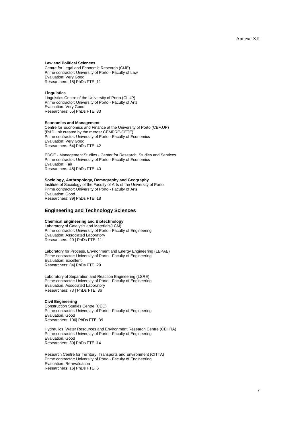#### **Law and Political Sciences**

Centre for Legal and Economic Research (CIJE) Prime contractor: University of Porto - Faculty of Law Evaluation: Very Good Researchers: 18| PhDs FTE: 11

#### **Linguistics**

Linguistics Centre of the University of Porto (CLUP) Prime contractor: University of Porto - Faculty of Arts Evaluation: Very Good Researchers: 55| PhDs FTE: 33

#### **Economics and Management**

Centre for Economics and Finance at the University of Porto (CEF.UP) (R&D unit created by the merger CEMPRE-CETE) Prime contractor: University of Porto - Faculty of Economics Evaluation: Very Good Researchers: 64| PhDs FTE: 42

EDGE - Management Studies - Center for Research, Studies and Services Prime contractor: University of Porto - Faculty of Economics Evaluation: Fair Researchers: 48| PhDs FTE: 40

#### **Sociology, Anthropology, Demography and Geography**

Institute of Sociology of the Faculty of Arts of the University of Porto Prime contractor: University of Porto - Faculty of Arts Evaluation: Good Researchers: 39| PhDs FTE: 18

#### **Engineering and Technology Sciences**

#### **Chemical Engineering and Biotechnology**

Laboratory of Catalysis and Materials(LCM) Prime contractor: University of Porto - Faculty of Engineering Evaluation: Associated Laboratory Researchers: 20 | PhDs FTE: 11

Laboratory for Process, Environment and Energy Engineering (LEPAE) Prime contractor: University of Porto - Faculty of Engineering Evaluation: Excellent Researchers: 84| PhDs FTE: 29

Laboratory of Separation and Reaction Engineering (LSRE) Prime contractor: University of Porto - Faculty of Engineering Evaluation: Associated Laboratory Researchers: 73 | PhDs FTE: 36

#### **Civil Engineering**

Construction Studies Centre (CEC) Prime contractor: University of Porto - Faculty of Engineering Evaluation: Good Researchers: 106| PhDs FTE: 39

Hydraulics, Water Resources and Environment Research Centre (CEHRA) Prime contractor: University of Porto - Faculty of Engineering Evaluation: Good Researchers: 30| PhDs FTE: 14

Research Centre for Territory, Transports and Environment (CITTA) Prime contractor: University of Porto - Faculty of Engineering Evaluation: Re-evaluation Researchers: 16| PhDs FTE: 6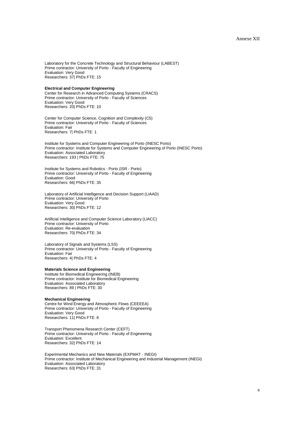Laboratory for the Concrete Technology and Structural Behaviour (LABEST) Prime contractor: University of Porto - Faculty of Engineering Evaluation: Very Good Researchers: 37| PhDs FTE: 15

#### **Electrical and Computer Engineering**

Center for Research in Advanced Computing Systems (CRACS) Prime contractor: University of Porto - Faculty of Sciences Evaluation: Very Good Researchers: 20| PhDs FTE: 10

Center for Computer Science, Cognition and Complexity (C5) Prime contractor: University of Porto - Faculty of Sciences Evaluation: Fair Researchers: 7| PhDs FTE: 1

Institute for Systems and Computer Engineering of Porto (INESC Porto) Prime contractor: Institute for Systems and Computer Engineering of Porto (INESC Porto) Evaluation: Associated Laboratory Researchers: 193 | PhDs FTE: 75

Institute for Systems and Robotics - Porto (ISR - Porto) Prime contractor: University of Porto - Faculty of Engineering Evaluation: Good Researchers: 66| PhDs FTE: 35

Laboratory of Artificial Intelligence and Decision Support (LIAAD) Prime contractor: University of Porto Evaluation: Very Good Researchers: 30| PhDs FTE: 12

Artificial Intelligence and Computer Science Laboratory (LIACC) Prime contractor: University of Porto Evaluation: Re-evaluation Researchers: 70| PhDs FTE: 34

Laboratory of Signals and Systems (LSS) Prime contractor: University of Porto - Faculty of Engineering Evaluation: Fair Researchers: 4| PhDs FTE: 4

#### **Materials Science and Engineering**

Institute for Biomedical Engineering (INEB) Prime contractor: Institute for Biomedical Engineering Evaluation: Associated Laboratory Researchers: 89 | PhDs FTE: 30

#### **Mechanical Engineering**

Centre for Wind Energy and Atmospheric Flows (CEEEEA) Prime contractor: University of Porto - Faculty of Engineering Evaluation: Very Good Researchers: 11| PhDs FTE: 8

Transport Phenomena Research Center (CEFT) Prime contractor: University of Porto - Faculty of Engineering Evaluation: Excellent Researchers: 32| PhDs FTE: 14

Experimental Mechanics and New Materials (EXPMAT - INEGI) Prime contractor: Institute of Mechanical Engineering and Industrial Management (INEGI) Evaluation: Associated Laboratory Researchers: 63| PhDs FTE: 31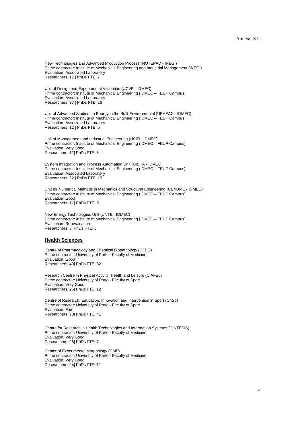New Technologies and Advanced Production Process (NOTEPAD - INEGI) Prime contractor: Institute of Mechanical Engineering and Industrial Management (INEGI) Evaluation: Associated Laboratory Researchers: 17 | PhDs FTE: 7

Unit of Design and Experimental Validation (UCVE - IDMEC) Prime contractor: Institute of Mechanical Engineering (IDMEC – FEUP Campus) Evaluation: Associated Laboratory Researchers: 37 | PhDs FTE: 16

Unit of Advanced Studies on Energy in the Built Environmental (UEAEAC - IDMEC) Prime contractor: Institute of Mechanical Engineering (IDMEC – FEUP Campus) Evaluation: Associated Laboratory Researchers: 12 | PhDs FTE: 5

Unit of Management and Industrial Engineering (UGEI - IDMEC) Prime contractor: Institute of Mechanical Engineering (IDMEC – FEUP Campus) Evaluation: Very Good Researchers: 12| PhDs FTE: 5

System Integration and Process Automation Unit (UISPA - IDMEC) Prime contractor: Institute of Mechanical Engineering (IDMEC – FEUP Campus) Evaluation: Associated Laboratory Researchers: 22 | PhDs FTE: 15

Unit for Numerical Methods in Mechanics and Structural Engineering (CENUME - IDMEC) Prime contractor: Institute of Mechanical Engineering (IDMEC – FEUP Campus) Evaluation: Good Researchers: 11| PhDs FTE: 9

New Energy Technologies Unit (UNTE - IDMEC) Prime contractor: Institute of Mechanical Engineering (IDMEC – FEUP Campus) Evaluation: Re-evaluation Researchers: 6| PhDs FTE: 6

#### **Health Sciences**

Centre of Pharmacology and Chemical Biopathology (CFBQ) Prime contractor: University of Porto - Faculty of Medicine Evaluation: Good Researchers: 49| PhDs FTE: 32

Research Centre in Physical Activity, Health and Leisure (CIAFEL) Prime contractor: University of Porto - Faculty of Sport Evaluation: Very Good Researchers: 26| PhDs FTE: 12

Centre of Research, Education, Innovation and Intervention in Sport (Cifi2d) Prime contractor: University of Porto - Faculty of Sport Evaluation: Fair Researchers: 70| PhDs FTE: 41

Centre for Research in Health Technologies and Information Systems (CINTESIS) Prime contractor: University of Porto - Faculty of Medicine Evaluation: Very Good Researchers: 26| PhDs FTE: 7

Center of Experimental Morphology (CME) Prime contractor: University of Porto - Faculty of Medicine Evaluation: Very Good Researchers: 24| PhDs FTE: 11